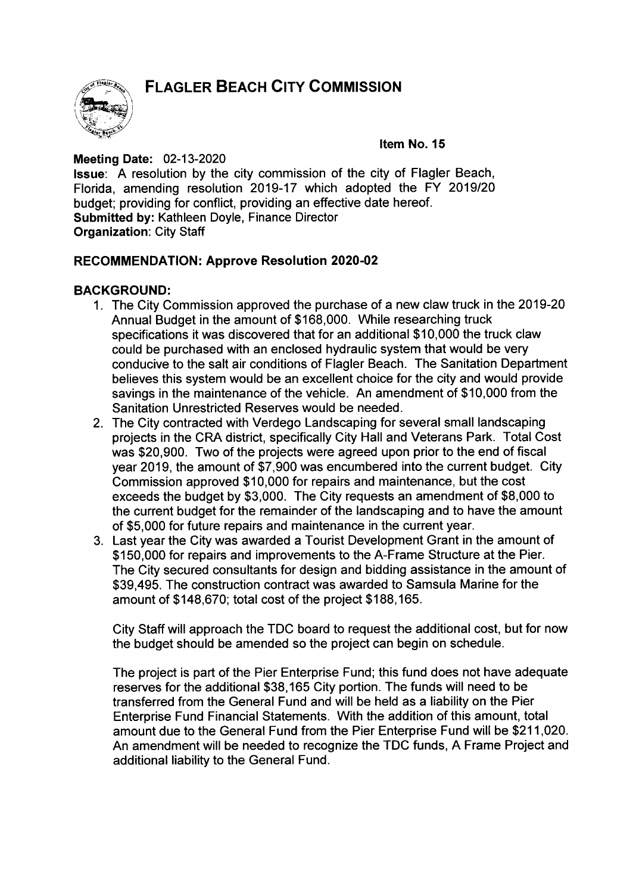**FLAGLER BEACH CITY COMMISSION** 



Item No. 15

**Meeting Date: 02-13-2020** Issue: A resolution by the city commission of the city of Flagler Beach, Florida, amending resolution 2019-17 which adopted the FY 2019/20 budget; providing for conflict, providing an effective date hereof. Submitted by: Kathleen Doyle, Finance Director Organization: City Staff

# RECOMMENDATION: Approve Resolution 2020-02

# BACKGROUND:

- 1. The City Commission approved the purchase of a new claw truck in the 2019-20 Annual Budget in the amount of \$168, 000. While researching truck specifications it was discovered that for an additional \$ 10, 000 the truck claw could be purchased with an enclosed hydraulic system that would be very conducive to the salt air conditions of Flagler Beach. The Sanitation Department believes this system would be an excellent choice for the city and would provide savings in the maintenance of the vehicle. An amendment of \$10,000 from the Sanitation Unrestricted Reserves would be needed.
- 2. The City contracted with Verdego Landscaping for several small landscaping projects in the CRA district, specifically City Hall and Veterans Park. Total Cost was \$20,900. Two of the projects were agreed upon prior to the end of fiscal year 2019, the amount of \$7,900 was encumbered into the current budget. City Commission approved \$10,000 for repairs and maintenance, but the cost exceeds the budget by \$3,000. The City requests an amendment of \$8,000 to the current budget for the remainder of the landscaping and to have the amount of \$5, 000 for future repairs and maintenance in the current year.
- 3. Last year the City was awarded a Tourist Development Grant in the amount of \$150,000 for repairs and improvements to the A-Frame Structure at the Pier. The City secured consultants for design and bidding assistance in the amount of 39, 495. The construction contract was awarded to Samsula Marine for the amount of \$ 148,670; total cost of the project \$ 188, 165.

City Staff will approach the TDC board to request the additional cost, but for now the budget should be amended so the project can begin on schedule.

The project is part of the Pier Enterprise Fund; this fund does not have adequate reserves for the additional \$38,165 City portion. The funds will need to be transferred from the General Fund and will be held as a liability on the Pier Enterprise Fund Financial Statements. With the addition of this amount, total amount due to the General Fund from the Pier Enterprise Fund will be \$211,020. An amendment will be needed to recognize the TDC funds, A Frame Project and additional liability to the General Fund.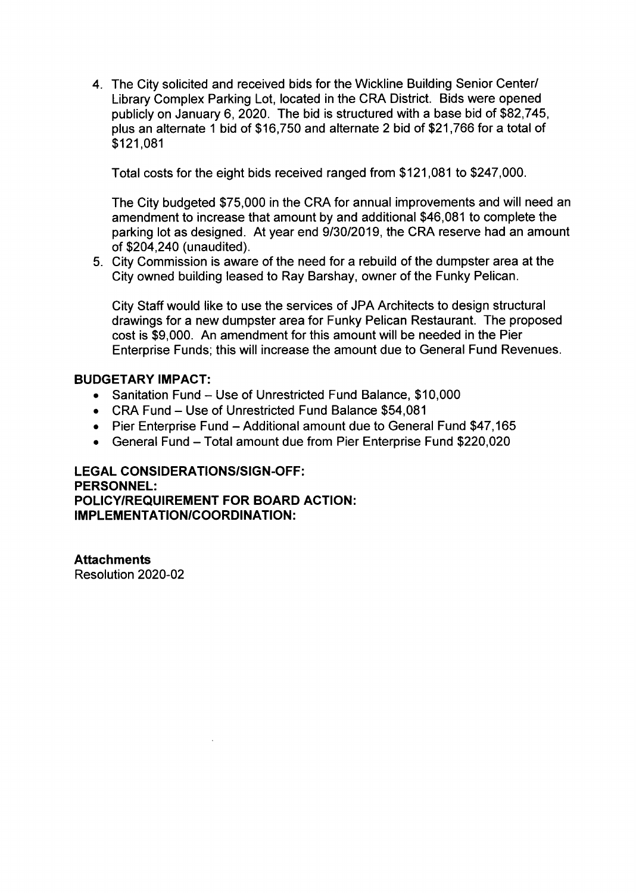4. The City solicited and received bids for the Wickline Building Senior Center/ Library Complex Parking Lot, located in the CRA District. Bids were opened publicly on January 6, 2020. The bid is structured with <sup>a</sup> base bid of \$82,745, plus an alternate <sup>1</sup> bid of \$ 16, 750 and alternate <sup>2</sup> bid of \$21, 766 for <sup>a</sup> total of 121, 081

Total costs for the eight bids received ranged from \$ 121, 081 to \$247, 000.

The City budgeted \$75,000 in the CRA for annual improvements and will need an amendment to increase that amount by and additional \$46,081 to complete the parking lot as designed. At year end 9/30/2019, the CRA reserve had an amount of \$204,240 ( unaudited).

5. City Commission is aware of the need for a rebuild of the dumpster area at the City owned building leased to Ray Barshay, owner of the Funky Pelican.

City Staff would like to use the services of JPA Architects to design structural drawings for a new dumpster area for Funky Pelican Restaurant. The proposed cost is \$9,000. An amendment for this amount will be needed in the Pier Enterprise Funds; this will increase the amount due to General Fund Revenues.

## BUDGETARY IMPACT:

- Sanitation Fund Use of Unrestricted Fund Balance, \$10,000
- CRA Fund Use of Unrestricted Fund Balance \$54,081
- Pier Enterprise Fund Additional amount due to General Fund \$47,165
- General Fund Total amount due from Pier Enterprise Fund \$220,020

#### **LEGAL CONSIDERATIONS/SIGN-OFF:** PERSONNEL: POLICY/REQUIREMENT FOR BOARD ACTION: IMPLEMENTATION/COORDINATION:

**Attachments** Resolution 2020-02